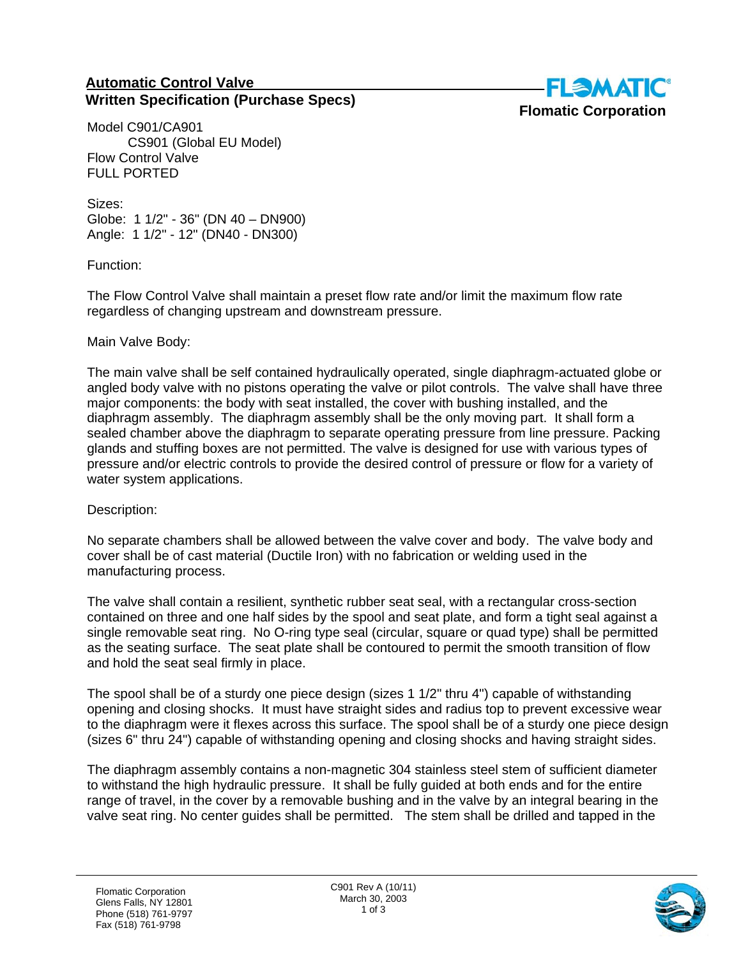## **Automatic Control Valve Written Specification (Purchase Specs)**



Model C901/CA901 CS901 (Global EU Model) Flow Control Valve FULL PORTED

Sizes: Globe: 1 1/2" - 36" (DN 40 – DN900) Angle: 1 1/2" - 12" (DN40 - DN300)

Function:

The Flow Control Valve shall maintain a preset flow rate and/or limit the maximum flow rate regardless of changing upstream and downstream pressure.

## Main Valve Body:

The main valve shall be self contained hydraulically operated, single diaphragm-actuated globe or angled body valve with no pistons operating the valve or pilot controls. The valve shall have three major components: the body with seat installed, the cover with bushing installed, and the diaphragm assembly. The diaphragm assembly shall be the only moving part. It shall form a sealed chamber above the diaphragm to separate operating pressure from line pressure. Packing glands and stuffing boxes are not permitted. The valve is designed for use with various types of pressure and/or electric controls to provide the desired control of pressure or flow for a variety of water system applications.

Description:

No separate chambers shall be allowed between the valve cover and body. The valve body and cover shall be of cast material (Ductile Iron) with no fabrication or welding used in the manufacturing process.

The valve shall contain a resilient, synthetic rubber seat seal, with a rectangular cross-section contained on three and one half sides by the spool and seat plate, and form a tight seal against a single removable seat ring. No O-ring type seal (circular, square or quad type) shall be permitted as the seating surface. The seat plate shall be contoured to permit the smooth transition of flow and hold the seat seal firmly in place.

The spool shall be of a sturdy one piece design (sizes 1 1/2" thru 4") capable of withstanding opening and closing shocks. It must have straight sides and radius top to prevent excessive wear to the diaphragm were it flexes across this surface. The spool shall be of a sturdy one piece design (sizes 6" thru 24") capable of withstanding opening and closing shocks and having straight sides.

The diaphragm assembly contains a non-magnetic 304 stainless steel stem of sufficient diameter to withstand the high hydraulic pressure. It shall be fully guided at both ends and for the entire range of travel, in the cover by a removable bushing and in the valve by an integral bearing in the valve seat ring. No center guides shall be permitted. The stem shall be drilled and tapped in the

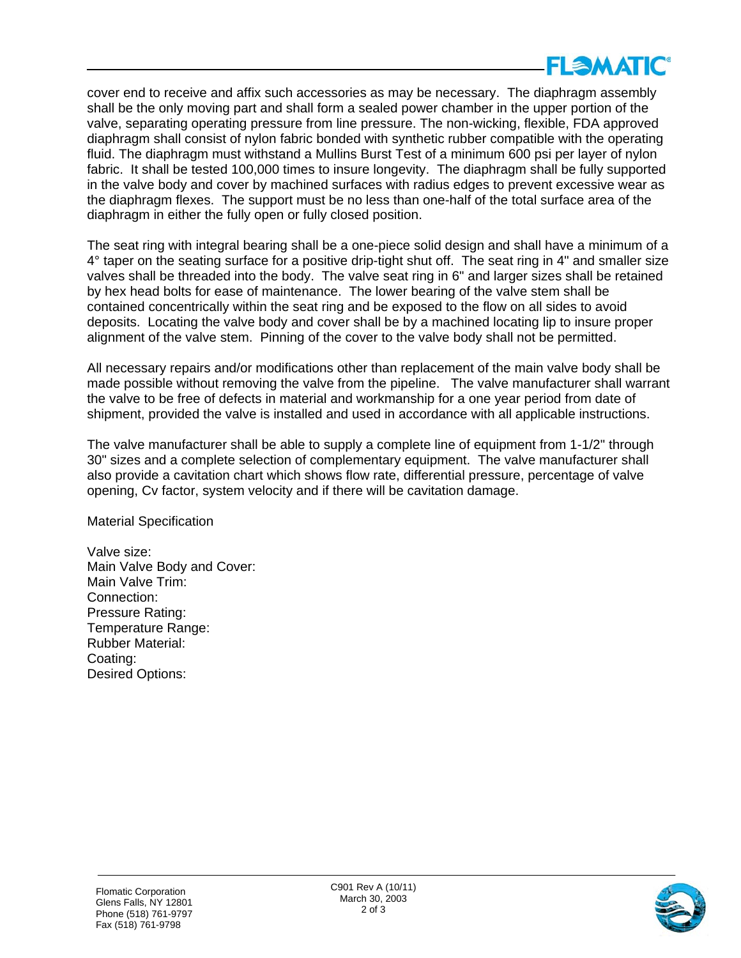

cover end to receive and affix such accessories as may be necessary. The diaphragm assembly shall be the only moving part and shall form a sealed power chamber in the upper portion of the valve, separating operating pressure from line pressure. The non-wicking, flexible, FDA approved diaphragm shall consist of nylon fabric bonded with synthetic rubber compatible with the operating fluid. The diaphragm must withstand a Mullins Burst Test of a minimum 600 psi per layer of nylon fabric. It shall be tested 100,000 times to insure longevity. The diaphragm shall be fully supported in the valve body and cover by machined surfaces with radius edges to prevent excessive wear as the diaphragm flexes. The support must be no less than one-half of the total surface area of the diaphragm in either the fully open or fully closed position.

The seat ring with integral bearing shall be a one-piece solid design and shall have a minimum of a 4° taper on the seating surface for a positive drip-tight shut off. The seat ring in 4" and smaller size valves shall be threaded into the body. The valve seat ring in 6" and larger sizes shall be retained by hex head bolts for ease of maintenance. The lower bearing of the valve stem shall be contained concentrically within the seat ring and be exposed to the flow on all sides to avoid deposits. Locating the valve body and cover shall be by a machined locating lip to insure proper alignment of the valve stem. Pinning of the cover to the valve body shall not be permitted.

All necessary repairs and/or modifications other than replacement of the main valve body shall be made possible without removing the valve from the pipeline. The valve manufacturer shall warrant the valve to be free of defects in material and workmanship for a one year period from date of shipment, provided the valve is installed and used in accordance with all applicable instructions.

The valve manufacturer shall be able to supply a complete line of equipment from 1-1/2" through 30" sizes and a complete selection of complementary equipment. The valve manufacturer shall also provide a cavitation chart which shows flow rate, differential pressure, percentage of valve opening, Cv factor, system velocity and if there will be cavitation damage.

Material Specification

Valve size: Main Valve Body and Cover: Main Valve Trim: Connection: Pressure Rating: Temperature Range: Rubber Material: Coating: Desired Options: